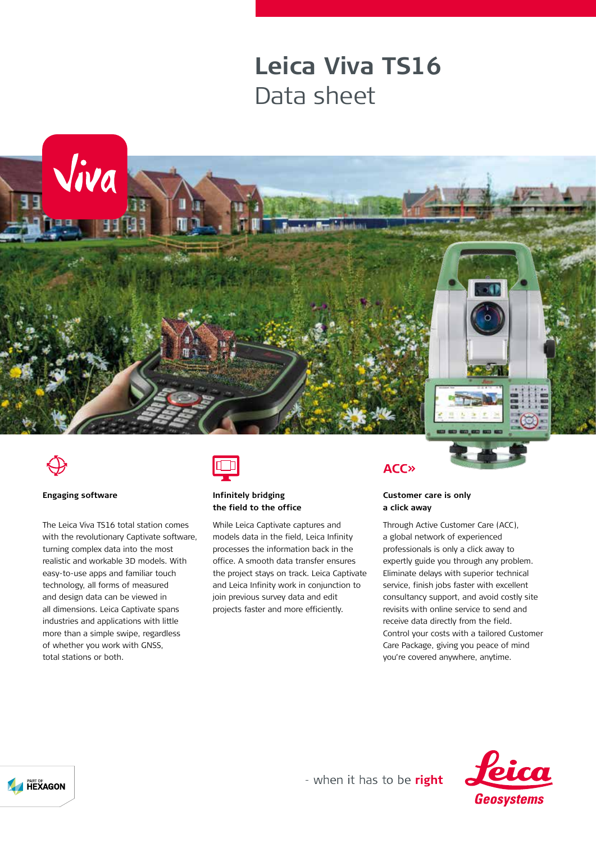## **Leica Viva TS16** Data sheet





### **Engaging software**

The Leica Viva TS16 total station comes with the revolutionary Captivate software. turning complex data into the most realistic and workable 3D models. With easy-to-use apps and familiar touch technology, all forms of measured and design data can be viewed in all dimensions. Leica Captivate spans industries and applications with little more than a simple swipe, regardless of whether you work with GNSS, total stations or both.



## **Infinitely bridging the field to the office**

While Leica Captivate captures and models data in the field, Leica Infinity processes the information back in the office. A smooth data transfer ensures the project stays on track. Leica Captivate and Leica Infinity work in conjunction to join previous survey data and edit projects faster and more efficiently.

## **ACC**<sub>></sub>

## **Customer care is only a click away**

Through Active Customer Care (ACC), a global network of experienced professionals is only a click away to expertly guide you through any problem. Eliminate delays with superior technical service, finish jobs faster with excellent consultancy support, and avoid costly site revisits with online service to send and receive data directly from the field. Control your costs with a tailored Customer Care Package, giving you peace of mind you're covered anywhere, anytime.





- when it has to be right